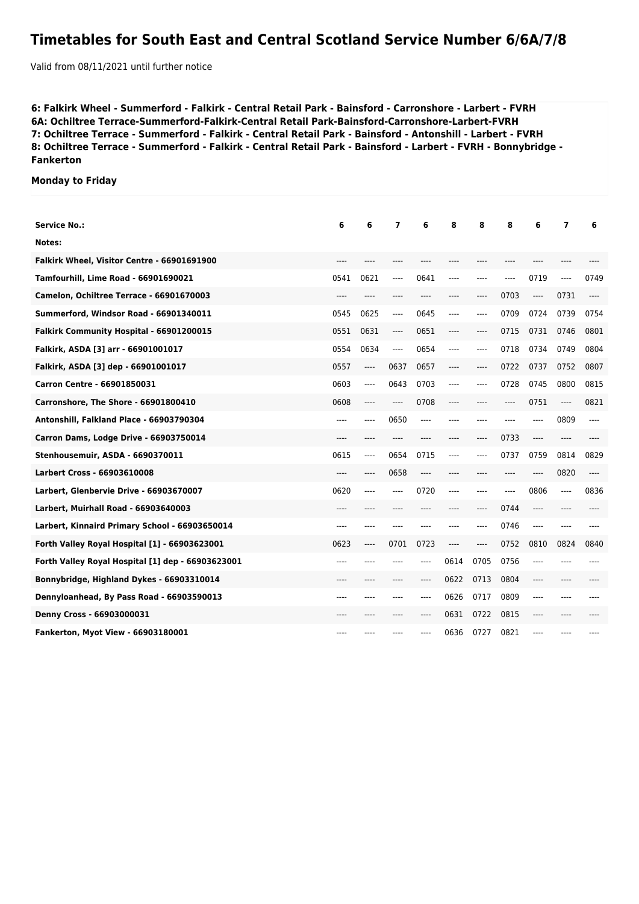## **Timetables for South East and Central Scotland Service Number 6/6A/7/8**

Valid from 08/11/2021 until further notice

**6: Falkirk Wheel - Summerford - Falkirk - Central Retail Park - Bainsford - Carronshore - Larbert - FVRH 6A: Ochiltree Terrace-Summerford-Falkirk-Central Retail Park-Bainsford-Carronshore-Larbert-FVRH 7: Ochiltree Terrace - Summerford - Falkirk - Central Retail Park - Bainsford - Antonshill - Larbert - FVRH 8: Ochiltree Terrace - Summerford - Falkirk - Central Retail Park - Bainsford - Larbert - FVRH - Bonnybridge - Fankerton**

**Monday to Friday**

| Service No.:                                      | 6    | 6     | 7       | 6    | 8     | 8         | 8     | 6     | 7     | 6    |
|---------------------------------------------------|------|-------|---------|------|-------|-----------|-------|-------|-------|------|
| Notes:                                            |      |       |         |      |       |           |       |       |       |      |
| Falkirk Wheel, Visitor Centre - 66901691900       | ---- | ----  | ----    | ---- | ----  | ----      | ----  | ----  | ----  |      |
| Tamfourhill, Lime Road - 66901690021              | 0541 | 0621  | $---$   | 0641 | ----  | ----      | ----  | 0719  | $---$ | 0749 |
| Camelon, Ochiltree Terrace - 66901670003          | ---- | ----  | ----    | ---- | ----  | $---$     | 0703  | ----  | 0731  | ---- |
| Summerford, Windsor Road - 66901340011            | 0545 | 0625  | $---$   | 0645 | ----  | $- - - -$ | 0709  | 0724  | 0739  | 0754 |
| Falkirk Community Hospital - 66901200015          | 0551 | 0631  | ----    | 0651 |       | ----      | 0715  | 0731  | 0746  | 0801 |
| Falkirk, ASDA [3] arr - 66901001017               | 0554 | 0634  | $-----$ | 0654 | ----  | ----      | 0718  | 0734  | 0749  | 0804 |
| Falkirk, ASDA [3] dep - 66901001017               | 0557 | ----  | 0637    | 0657 | ----  | ----      | 0722  | 0737  | 0752  | 0807 |
| <b>Carron Centre - 66901850031</b>                | 0603 | $---$ | 0643    | 0703 | ----  | ----      | 0728  | 0745  | 0800  | 0815 |
| Carronshore, The Shore - 66901800410              | 0608 | ----  | ----    | 0708 |       |           | ----  | 0751  | $---$ | 0821 |
| Antonshill, Falkland Place - 66903790304          | ---- | ----  | 0650    | ---- | ----  | ----      | ----  | ----  | 0809  | ---- |
| Carron Dams, Lodge Drive - 66903750014            | ---- | ----  | ----    | ---- | ----  | $---$     | 0733  | ----  | ----  | ---- |
| Stenhousemuir, ASDA - 6690370011                  | 0615 | ----  | 0654    | 0715 | ----  | $-- -$    | 0737  | 0759  | 0814  | 0829 |
| Larbert Cross - 66903610008                       | ---- | ----  | 0658    | ---- |       | ----      | ----  | ----  | 0820  | ---- |
| Larbert, Glenbervie Drive - 66903670007           | 0620 | ----  | ----    | 0720 | ----  | $- - - -$ | $---$ | 0806  | ----  | 0836 |
| Larbert, Muirhall Road - 66903640003              | ---- | ----  | ----    | ---- | ----  | $---$     | 0744  | $---$ | ----  | ---- |
| Larbert, Kinnaird Primary School - 66903650014    | ---- | ----  | ----    | ---- | ----  | $---$     | 0746  | $---$ | ----  |      |
| Forth Valley Royal Hospital [1] - 66903623001     | 0623 | ----  | 0701    | 0723 | $---$ | ----      | 0752  | 0810  | 0824  | 0840 |
| Forth Valley Royal Hospital [1] dep - 66903623001 | ---- |       |         | ---- | 0614  | 0705      | 0756  | $---$ | ----  |      |
| Bonnybridge, Highland Dykes - 66903310014         | ---- | ----  | ----    | ---- | 0622  | 0713      | 0804  | $---$ | ----  |      |
| Dennyloanhead, By Pass Road - 66903590013         | ---- | ----  | ----    | ---- | 0626  | 0717      | 0809  | $---$ | ----  |      |
| Denny Cross - 66903000031                         | ---- |       |         | ---- | 0631  | 0722      | 0815  | ----  | ----  |      |
| Fankerton, Myot View - 66903180001                |      |       |         |      | 0636  | 0727      | 0821  | ----  |       |      |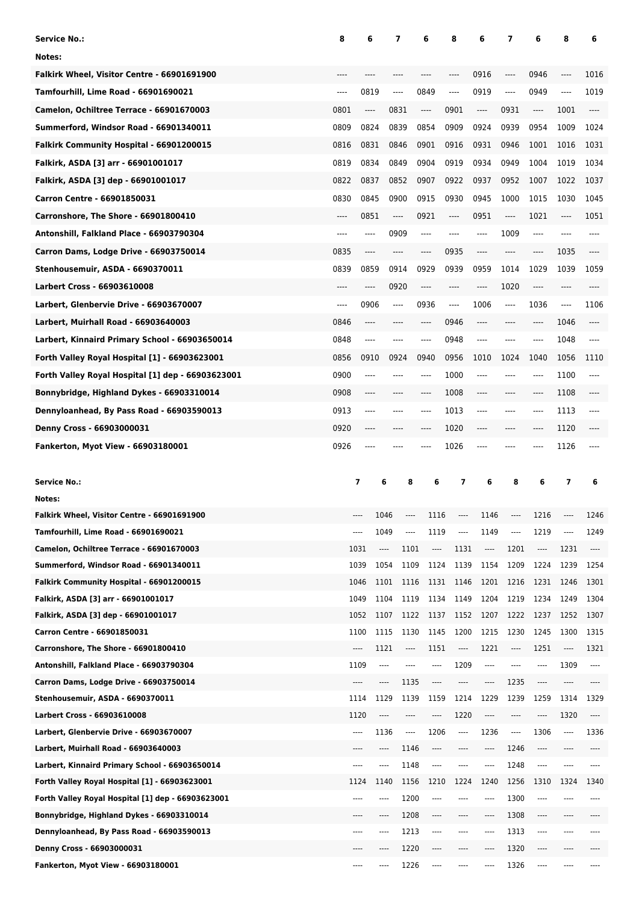| Service No.:                                                           | 8    | 6                             | 7                                                                                                                                                                                                                                                                                                                                                             | 6                | 8                             | 6            | 7            |               | 8                        | 6             |
|------------------------------------------------------------------------|------|-------------------------------|---------------------------------------------------------------------------------------------------------------------------------------------------------------------------------------------------------------------------------------------------------------------------------------------------------------------------------------------------------------|------------------|-------------------------------|--------------|--------------|---------------|--------------------------|---------------|
| Notes:                                                                 |      |                               |                                                                                                                                                                                                                                                                                                                                                               |                  |                               |              |              |               |                          |               |
| Falkirk Wheel, Visitor Centre - 66901691900                            |      |                               |                                                                                                                                                                                                                                                                                                                                                               |                  | $---$                         | 0916         | ----         | 0946          | ----                     | 1016          |
| Tamfourhill, Lime Road - 66901690021                                   | ---- | 0819                          | ----                                                                                                                                                                                                                                                                                                                                                          | 0849             | ----                          | 0919         | ----         | 0949          | ----                     | 1019          |
| Camelon, Ochiltree Terrace - 66901670003                               | 0801 | ----                          | 0831                                                                                                                                                                                                                                                                                                                                                          | ----             | 0901                          | ----         | 0931         | ----          | 1001                     | ----          |
| Summerford, Windsor Road - 66901340011                                 | 0809 | 0824                          | 0839                                                                                                                                                                                                                                                                                                                                                          | 0854             | 0909                          | 0924         | 0939         | 0954          | 1009                     | 1024          |
| Falkirk Community Hospital - 66901200015                               | 0816 | 0831                          | 0846                                                                                                                                                                                                                                                                                                                                                          | 0901             | 0916                          | 0931         | 0946         | 1001          | 1016                     | 1031          |
| Falkirk, ASDA [3] arr - 66901001017                                    | 0819 | 0834                          | 0849                                                                                                                                                                                                                                                                                                                                                          | 0904             | 0919                          | 0934         | 0949         | 1004          | 1019                     | 1034          |
| Falkirk, ASDA [3] dep - 66901001017                                    | 0822 | 0837                          | 0852                                                                                                                                                                                                                                                                                                                                                          | 0907             | 0922                          | 0937         | 0952         | 1007          | 1022                     | 1037          |
| Carron Centre - 66901850031                                            | 0830 | 0845                          | 0900                                                                                                                                                                                                                                                                                                                                                          | 0915             | 0930                          | 0945         | 1000         | 1015          | 1030                     | 1045          |
| Carronshore, The Shore - 66901800410                                   | ---- | 0851                          | ----                                                                                                                                                                                                                                                                                                                                                          | 0921             | $\hspace{1.5cm} \textbf{---}$ | 0951         | ----         | 1021          | ----                     | 1051          |
| Antonshill, Falkland Place - 66903790304                               | ---- | $\qquad \qquad - - -$         | 0909                                                                                                                                                                                                                                                                                                                                                          | ----             | ----                          | ----         | 1009         | $-----$       | ----                     | ----          |
| Carron Dams, Lodge Drive - 66903750014                                 | 0835 | ----                          | ----                                                                                                                                                                                                                                                                                                                                                          | ----             | 0935                          | ----         | ----         | ----          | 1035                     | $-----$       |
| Stenhousemuir, ASDA - 6690370011                                       | 0839 | 0859                          | 0914                                                                                                                                                                                                                                                                                                                                                          | 0929             | 0939                          | 0959         | 1014         | 1029          | 1039                     | 1059          |
| <b>Larbert Cross - 66903610008</b>                                     | ---- | $\hspace{1.5cm} \textbf{---}$ | 0920                                                                                                                                                                                                                                                                                                                                                          | ----             | ----                          | ----         | 1020         | ----          | ----                     |               |
| Larbert, Glenbervie Drive - 66903670007                                | ---- | 0906                          | ----                                                                                                                                                                                                                                                                                                                                                          | 0936             | $\hspace{1.5cm} \textbf{---}$ | 1006         | ----         | 1036          | ----                     | 1106          |
| Larbert, Muirhall Road - 66903640003                                   | 0846 | $\hspace{1.5cm} \textbf{---}$ | ----                                                                                                                                                                                                                                                                                                                                                          | $-----$          | 0946                          | ----         | ----         | ----          | 1046                     | ----          |
| Larbert, Kinnaird Primary School - 66903650014                         | 0848 | $-----$                       | ----                                                                                                                                                                                                                                                                                                                                                          | ----             | 0948                          | ----         | ----         | $-----$       | 1048                     | $---$         |
| Forth Valley Royal Hospital [1] - 66903623001                          | 0856 | 0910                          | 0924                                                                                                                                                                                                                                                                                                                                                          | 0940             | 0956                          | 1010         | 1024         | 1040          | 1056                     | 1110          |
| Forth Valley Royal Hospital [1] dep - 66903623001                      | 0900 | $-----$                       | ----                                                                                                                                                                                                                                                                                                                                                          | $-----$          | 1000                          | ----         | ----         | $-----$       | 1100                     | ----          |
| Bonnybridge, Highland Dykes - 66903310014                              | 0908 | ----                          | ----                                                                                                                                                                                                                                                                                                                                                          | $-----$          | 1008                          | ----         | ----         | ----          | 1108                     | ----          |
| Dennyloanhead, By Pass Road - 66903590013                              | 0913 | ----                          | ----                                                                                                                                                                                                                                                                                                                                                          | ----             | 1013                          | ----         | ----         | $-----$       | 1113                     | $---$         |
| Denny Cross - 66903000031                                              | 0920 | ----                          | ----                                                                                                                                                                                                                                                                                                                                                          | ----             | 1020                          | ----         |              | ----          | 1120                     |               |
| Fankerton, Myot View - 66903180001                                     | 0926 | $-----$                       |                                                                                                                                                                                                                                                                                                                                                               | ----             | 1026                          | ----         | ----         | ----          | 1126                     | $---$         |
|                                                                        |      |                               |                                                                                                                                                                                                                                                                                                                                                               |                  |                               |              |              |               |                          |               |
|                                                                        |      |                               |                                                                                                                                                                                                                                                                                                                                                               |                  |                               |              |              |               |                          |               |
|                                                                        |      |                               |                                                                                                                                                                                                                                                                                                                                                               |                  |                               |              |              |               |                          |               |
| <b>Service No.:</b><br>Notes:                                          |      | 7                             | 6<br>8                                                                                                                                                                                                                                                                                                                                                        | 6                | 7                             | 6            | 8            | 6             | $\overline{\phantom{a}}$ | 6             |
| Falkirk Wheel, Visitor Centre - 66901691900                            |      | ----                          | 1046<br>----                                                                                                                                                                                                                                                                                                                                                  | 1116             | ----                          | 1146         | ----         | 1216          | ----                     | 1246          |
| Tamfourhill, Lime Road - 66901690021                                   |      | $\cdots$                      | 1049<br>$\cdots$                                                                                                                                                                                                                                                                                                                                              | 1119             | ----                          | 1149         | $\cdots$     | 1219          | $\cdots$                 | 1249          |
| Camelon, Ochiltree Terrace - 66901670003                               |      | 1031                          | 1101<br>$\cdots$                                                                                                                                                                                                                                                                                                                                              | $\cdots$         | 1131                          | ----         | 1201         | $\cdots$      | 1231                     | ----          |
| Summerford, Windsor Road - 66901340011                                 |      | 1039                          | 1054<br>1109                                                                                                                                                                                                                                                                                                                                                  | 1124             | 1139                          | 1154         | 1209         | 1224          | 1239                     | 1254          |
| Falkirk Community Hospital - 66901200015                               |      | 1046                          | 1101<br>1116                                                                                                                                                                                                                                                                                                                                                  | 1131             | 1146                          | 1201         | 1216         | 1231          | 1246                     | 1301          |
| Falkirk, ASDA [3] arr - 66901001017                                    |      | 1049                          | 1104<br>1119                                                                                                                                                                                                                                                                                                                                                  | 1134             | 1149                          | 1204         | 1219         | 1234          | 1249                     | 1304          |
| Falkirk, ASDA [3] dep - 66901001017                                    |      | 1052                          | 1107<br>1122                                                                                                                                                                                                                                                                                                                                                  | 1137             | 1152                          | 1207         | 1222         | 1237          | 1252                     | 1307          |
| Carron Centre - 66901850031                                            |      | 1100                          | 1115<br>1130                                                                                                                                                                                                                                                                                                                                                  | 1145             | 1200                          | 1215         | 1230         | 1245          | 1300                     | 1315          |
| Carronshore, The Shore - 66901800410                                   |      | ----                          | 1121<br>----                                                                                                                                                                                                                                                                                                                                                  | 1151             | $\cdots$                      | 1221         | $\cdots$     | 1251          | ----                     | 1321          |
| Antonshill, Falkland Place - 66903790304                               |      | 1109                          | $\cdots$<br>----                                                                                                                                                                                                                                                                                                                                              | $\cdots$         | 1209                          | ----         |              | $\cdots$      | 1309                     | $\frac{1}{2}$ |
| Carron Dams, Lodge Drive - 66903750014                                 |      | ----                          | 1135<br>----                                                                                                                                                                                                                                                                                                                                                  | $\cdots$         | ----                          | ----         | 1235         | $\cdots$      | $\cdots$                 |               |
| Stenhousemuir, ASDA - 6690370011                                       |      | 1114                          | 1129<br>1139                                                                                                                                                                                                                                                                                                                                                  | 1159             | 1214                          | 1229         | 1239         | 1259          | 1314                     | 1329          |
| <b>Larbert Cross - 66903610008</b>                                     |      | 1120                          | $\hspace{0.015cm} \hspace{0.015cm} \hspace{0.015cm} \hspace{0.015cm} \hspace{0.015cm} \hspace{0.015cm} \hspace{0.015cm} \hspace{0.015cm} \hspace{0.015cm} \hspace{0.015cm} \hspace{0.015cm} \hspace{0.015cm} \hspace{0.015cm} \hspace{0.015cm} \hspace{0.015cm} \hspace{0.015cm} \hspace{0.015cm} \hspace{0.015cm} \hspace{0.015cm} \hspace{0.015cm}$<br>---- | ----             | 1220                          | ----         | $\cdots$     | ----          | 1320                     | $\cdots$      |
| Larbert, Glenbervie Drive - 66903670007                                |      | $\cdots$                      | 1136<br>----                                                                                                                                                                                                                                                                                                                                                  | 1206             | ----                          | 1236         | $\cdots$     | 1306          | ----                     | 1336          |
| Larbert, Muirhall Road - 66903640003                                   |      | ----                          | 1146<br>----                                                                                                                                                                                                                                                                                                                                                  | $---$            | ----                          | ----         | 1246         | $\cdots$      | $\cdots$                 | ----          |
| Larbert, Kinnaird Primary School - 66903650014                         |      | ----                          | 1148<br>----                                                                                                                                                                                                                                                                                                                                                  | ----             | ----                          | ----         | 1248         | $\cdots$      | $---$                    |               |
| Forth Valley Royal Hospital [1] - 66903623001                          |      | 1124                          | 1140<br>1156                                                                                                                                                                                                                                                                                                                                                  | 1210             | 1224                          | 1240         | 1256         | 1310          | 1324                     | 1340          |
| Forth Valley Royal Hospital [1] dep - 66903623001                      |      | ----                          | 1200<br>----                                                                                                                                                                                                                                                                                                                                                  | ----             |                               |              | 1300         | ----          |                          |               |
| Bonnybridge, Highland Dykes - 66903310014                              |      | ----<br>----                  | 1208<br>----<br>----                                                                                                                                                                                                                                                                                                                                          | $---$<br>$1 - 1$ | ----<br>----                  | ----<br>---- | 1308         | $---$<br>---- | ----<br>$- - - -$        |               |
| Dennyloanhead, By Pass Road - 66903590013<br>Denny Cross - 66903000031 |      | ----                          | 1213<br>1220<br>----                                                                                                                                                                                                                                                                                                                                          | $---$            | ----                          |              | 1313<br>1320 | $---$         | ----                     |               |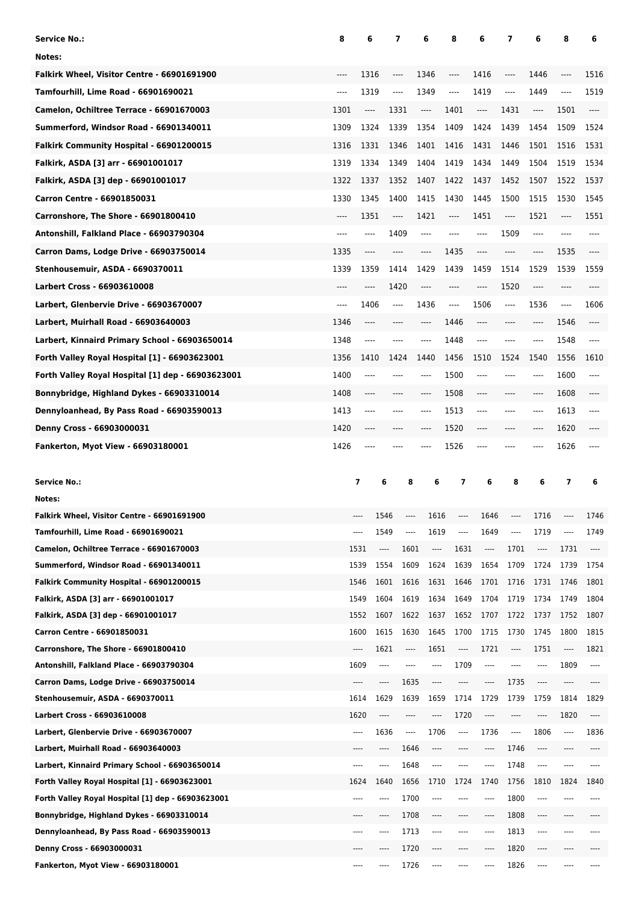| <b>Service No.:</b>                                                                             | 8     | 6            | 7                                | 6             | 8            | 6                             | 7            | 6                | 8                    | 6            |
|-------------------------------------------------------------------------------------------------|-------|--------------|----------------------------------|---------------|--------------|-------------------------------|--------------|------------------|----------------------|--------------|
| Notes:                                                                                          |       |              |                                  |               |              |                               |              |                  |                      |              |
| Falkirk Wheel, Visitor Centre - 66901691900                                                     | $---$ | 1316         | ----                             | 1346          | ----         | 1416                          | ----         | 1446             | ----                 | 1516         |
| Tamfourhill, Lime Road - 66901690021                                                            | ----  | 1319         | $---$                            | 1349          | $\cdots$     | 1419                          | $\cdots$     | 1449             | ----                 | 1519         |
| Camelon, Ochiltree Terrace - 66901670003                                                        | 1301  | ----         | 1331                             | $\cdots$      | 1401         | $\hspace{1.5cm} \textbf{---}$ | 1431         | ----             | 1501                 | ----         |
| Summerford, Windsor Road - 66901340011                                                          | 1309  | 1324         | 1339                             | 1354          | 1409         | 1424                          | 1439         | 1454             | 1509                 | 1524         |
| Falkirk Community Hospital - 66901200015                                                        | 1316  | 1331         | 1346                             | 1401          | 1416         | 1431                          | 1446         | 1501             | 1516                 | 1531         |
| Falkirk, ASDA [3] arr - 66901001017                                                             | 1319  | 1334         | 1349                             | 1404          | 1419         | 1434                          | 1449         | 1504             | 1519                 | 1534         |
| Falkirk, ASDA [3] dep - 66901001017                                                             | 1322  | 1337         | 1352                             | 1407          | 1422         | 1437                          | 1452         | 1507             | 1522                 | 1537         |
| Carron Centre - 66901850031                                                                     | 1330  | 1345         | 1400                             | 1415          | 1430         | 1445                          | 1500         | 1515             | 1530                 | 1545         |
| Carronshore, The Shore - 66901800410                                                            | ----  | 1351         | $---$                            | 1421          | ----         | 1451                          | $\cdots$     | 1521             | ----                 | 1551         |
| Antonshill, Falkland Place - 66903790304                                                        | $---$ | ----         | 1409                             | $\cdots$      | ----         | ----                          | 1509         | $-----$          | ----                 |              |
| Carron Dams, Lodge Drive - 66903750014                                                          | 1335  | ----         | ----                             | ----          | 1435         | $-----$                       | ----         | ----             | 1535                 | ----         |
| Stenhousemuir, ASDA - 6690370011                                                                | 1339  | 1359         | 1414                             | 1429          | 1439         | 1459                          | 1514         | 1529             | 1539                 | 1559         |
| <b>Larbert Cross - 66903610008</b>                                                              | $---$ | ----         | 1420                             | $\cdots$      | ----         | ----                          | 1520         | ----             | ----                 |              |
| Larbert, Glenbervie Drive - 66903670007                                                         | ----  | 1406         | $---$                            | 1436          | $\cdots$     | 1506                          | $\cdots$     | 1536             | ----                 | 1606         |
| Larbert, Muirhall Road - 66903640003                                                            | 1346  | ----         | ----                             | ----          | 1446         | $\hspace{1.5cm} \textbf{---}$ | ----         | ----             | 1546                 | ----         |
| Larbert, Kinnaird Primary School - 66903650014                                                  | 1348  | ----         | ----                             | ----          | 1448         | $---$                         | ----         | $-----$          | 1548                 | $---$        |
| Forth Valley Royal Hospital [1] - 66903623001                                                   | 1356  | 1410         | 1424                             | 1440          | 1456         | 1510                          | 1524         | 1540             | 1556                 | 1610         |
| Forth Valley Royal Hospital [1] dep - 66903623001                                               | 1400  | ----         | ----                             | ----          | 1500         | ----                          | ----         | ----             | 1600                 |              |
| Bonnybridge, Highland Dykes - 66903310014                                                       | 1408  | ----         | ----                             | ----          | 1508         | ----                          | ----         | ----             | 1608                 | ----         |
| Dennyloanhead, By Pass Road - 66903590013                                                       | 1413  | ----         | ----                             | ----          | 1513         | $-----$                       | $---$        | ----             | 1613                 | $-----$      |
| Denny Cross - 66903000031                                                                       | 1420  | ----         | ----                             | ----          | 1520         | ----                          | ----         | ----             | 1620                 |              |
| <b>Fankerton, Myot View - 66903180001</b>                                                       | 1426  | ----         |                                  | ----          | 1526         | ----                          |              |                  | 1626                 | ----         |
|                                                                                                 |       |              |                                  |               |              |                               |              |                  |                      |              |
|                                                                                                 |       |              |                                  |               |              |                               |              |                  |                      |              |
| <b>Service No.:</b>                                                                             |       | 7            | 6<br>8                           | 6             | 7            | 6                             | 8            | 6                | $\overline{7}$       | 6            |
| Notes:                                                                                          |       |              |                                  |               |              |                               |              |                  |                      |              |
| Falkirk Wheel, Visitor Centre - 66901691900                                                     |       | ----         | 1546                             | 1616          |              | 1646                          |              | 1716             |                      | 1746         |
| Tamfourhill, Lime Road - 66901690021                                                            |       | $\cdots$     | 1549<br>----                     | 1619          | ----         | 1649                          |              | 1719             | $---$                | 1749         |
| Camelon, Ochiltree Terrace - 66901670003                                                        |       | 1531         | 1601<br>----                     | $\cdots$      | 1631         | ----                          | 1701         | $\cdots$         | 1731                 | $\cdots$     |
| Summerford, Windsor Road - 66901340011                                                          |       | 1539         | 1554<br>1609                     | 1624          | 1639         | 1654                          | 1709         | 1724             | 1739                 | 1754         |
| Falkirk Community Hospital - 66901200015                                                        |       | 1546         | 1601<br>1616                     | 1631          | 1646         | 1701                          | 1716         | 1731             | 1746                 | 1801         |
| Falkirk, ASDA [3] arr - 66901001017                                                             |       | 1549         | 1604<br>1619                     | 1634          | 1649         | 1704                          | 1719         | 1734             | 1749                 | 1804         |
| Falkirk, ASDA [3] dep - 66901001017                                                             |       | 1552         | 1607<br>1622                     | 1637          | 1652         | 1707                          | 1722         | 1737             | 1752                 | 1807         |
| Carron Centre - 66901850031                                                                     |       | 1600         | 1615<br>1630                     | 1645          | 1700         | 1715                          | 1730         | 1745             | 1800                 | 1815         |
| Carronshore, The Shore - 66901800410                                                            |       | ----         | 1621<br>----                     | 1651          | ----         | 1721                          | ----         | 1751             | $\cdots$             | 1821         |
| Antonshill, Falkland Place - 66903790304                                                        |       | 1609         | $\cdots$<br>----                 | $\cdots$      | 1709         | $\cdots$                      |              | $\cdots$         | 1809                 | $\cdots$     |
| Carron Dams, Lodge Drive - 66903750014                                                          |       | ----         | 1635<br>----                     | $---$         | ----         | ----                          | 1735         | $---$            | ----                 |              |
| Stenhousemuir, ASDA - 6690370011                                                                |       | 1614         | 1629<br>1639                     | 1659          | 1714         | 1729                          | 1739         | 1759             | 1814                 | 1829         |
| Larbert Cross - 66903610008                                                                     |       | 1620         | ----<br>$- - - -$                | ----          | 1720         | $\cdots$                      | ----         | $---$            | 1820                 | ----         |
| Larbert, Glenbervie Drive - 66903670007                                                         |       | ----         | 1636<br>----                     | 1706<br>$---$ | ----         | 1736                          | ----         | 1806             | $\cdots$             | 1836<br>---- |
| Larbert, Muirhall Road - 66903640003                                                            |       | ----<br>---- | 1646<br>----<br>1648<br>$\cdots$ | $---$         | ----<br>---- | ----<br>----                  | 1746<br>1748 | ----<br>$\cdots$ | $\cdots$<br>$\cdots$ |              |
| Larbert, Kinnaird Primary School - 66903650014<br>Forth Valley Royal Hospital [1] - 66903623001 |       | 1624         | 1640<br>1656                     | 1710          | 1724         | 1740                          | 1756         | 1810             | 1824                 | 1840         |
| Forth Valley Royal Hospital [1] dep - 66903623001                                               |       | ----         | 1700<br>----                     | ----          | ----         | ----                          | 1800         | ----             | ----                 | ----         |
| Bonnybridge, Highland Dykes - 66903310014                                                       |       | ----         | 1708<br>----                     | $---$         | ----         | ----                          | 1808         | $---$            | $- - - -$            |              |
| Dennyloanhead, By Pass Road - 66903590013                                                       |       | ----         | 1713<br>----                     | $---$         | ----         | ----                          | 1813         | $---$            | $\cdots$             |              |
| Denny Cross - 66903000031                                                                       |       | ----         | 1720<br>----                     | ----          | ----         |                               | 1820         | $---$            | ----                 |              |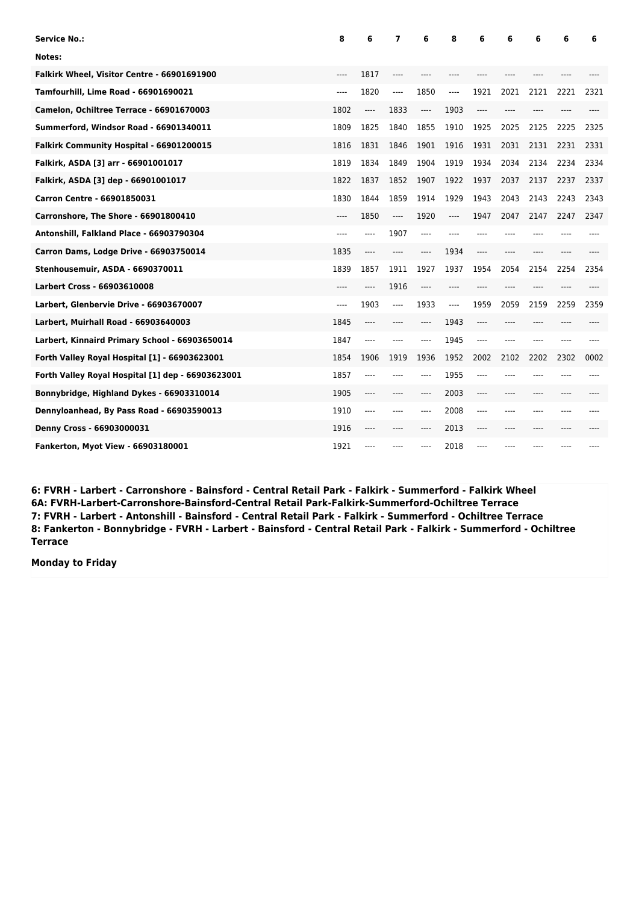| <b>Service No.:</b>                               | 8     | 6     | 7     | 6        | 8     | 6       | 6     | 6    | 6    | 6    |
|---------------------------------------------------|-------|-------|-------|----------|-------|---------|-------|------|------|------|
| Notes:                                            |       |       |       |          |       |         |       |      |      |      |
| Falkirk Wheel, Visitor Centre - 66901691900       | $---$ | 1817  | $---$ | ----     |       |         |       |      |      |      |
| Tamfourhill, Lime Road - 66901690021              | ----  | 1820  | $---$ | 1850     | ----  | 1921    | 2021  | 2121 | 2221 | 2321 |
| Camelon, Ochiltree Terrace - 66901670003          | 1802  | ----  | 1833  | $\cdots$ | 1903  | $-----$ | ----  | ---- |      |      |
| Summerford, Windsor Road - 66901340011            | 1809  | 1825  | 1840  | 1855     | 1910  | 1925    | 2025  | 2125 | 2225 | 2325 |
| Falkirk Community Hospital - 66901200015          | 1816  | 1831  | 1846  | 1901     | 1916  | 1931    | 2031  | 2131 | 2231 | 2331 |
| Falkirk, ASDA [3] arr - 66901001017               | 1819  | 1834  | 1849  | 1904     | 1919  | 1934    | 2034  | 2134 | 2234 | 2334 |
| Falkirk, ASDA [3] dep - 66901001017               | 1822  | 1837  | 1852  | 1907     | 1922  | 1937    | 2037  | 2137 | 2237 | 2337 |
| Carron Centre - 66901850031                       | 1830  | 1844  | 1859  | 1914     | 1929  | 1943    | 2043  | 2143 | 2243 | 2343 |
| Carronshore, The Shore - 66901800410              | ----  | 1850  | $---$ | 1920     | ----  | 1947    | 2047  | 2147 | 2247 | 2347 |
| Antonshill, Falkland Place - 66903790304          | ----  | ----  | 1907  | ----     |       | ----    |       |      |      |      |
| Carron Dams, Lodge Drive - 66903750014            | 1835  | ----  | ----  | ----     | 1934  | ----    | ----  | ---- | ---- |      |
| Stenhousemuir, ASDA - 6690370011                  | 1839  | 1857  | 1911  | 1927     | 1937  | 1954    | 2054  | 2154 | 2254 | 2354 |
| <b>Larbert Cross - 66903610008</b>                | ----  | ----  | 1916  | ----     |       |         | ----  |      |      |      |
| Larbert, Glenbervie Drive - 66903670007           | $---$ | 1903  | $---$ | 1933     | $---$ | 1959    | 2059  | 2159 | 2259 | 2359 |
| Larbert, Muirhall Road - 66903640003              | 1845  | ----  | ----  | ----     | 1943  | ----    |       |      |      |      |
| Larbert, Kinnaird Primary School - 66903650014    | 1847  | ----  | ----  | $---$    | 1945  | $---$   | ----  |      |      |      |
| Forth Valley Royal Hospital [1] - 66903623001     | 1854  | 1906  | 1919  | 1936     | 1952  | 2002    | 2102  | 2202 | 2302 | 0002 |
| Forth Valley Royal Hospital [1] dep - 66903623001 | 1857  | ----  |       | ----     | 1955  | $---$   | ---   |      |      |      |
| Bonnybridge, Highland Dykes - 66903310014         | 1905  | ----  | ----  | ----     | 2003  | $---$   | ----  | ---- | ---- |      |
| Dennyloanhead, By Pass Road - 66903590013         | 1910  | ----  | ----  | $---$    | 2008  | $---$   | ----  |      | ---- |      |
| Denny Cross - 66903000031                         | 1916  | $---$ | ----  | $---$    | 2013  | $---$   | $---$ | ---- | ---- |      |
| Fankerton, Myot View - 66903180001                | 1921  |       |       |          | 2018  | ----    |       |      |      |      |

**6: FVRH - Larbert - Carronshore - Bainsford - Central Retail Park - Falkirk - Summerford - Falkirk Wheel 6A: FVRH-Larbert-Carronshore-Bainsford-Central Retail Park-Falkirk-Summerford-Ochiltree Terrace 7: FVRH - Larbert - Antonshill - Bainsford - Central Retail Park - Falkirk - Summerford - Ochiltree Terrace 8: Fankerton - Bonnybridge - FVRH - Larbert - Bainsford - Central Retail Park - Falkirk - Summerford - Ochiltree Terrace**

**Monday to Friday**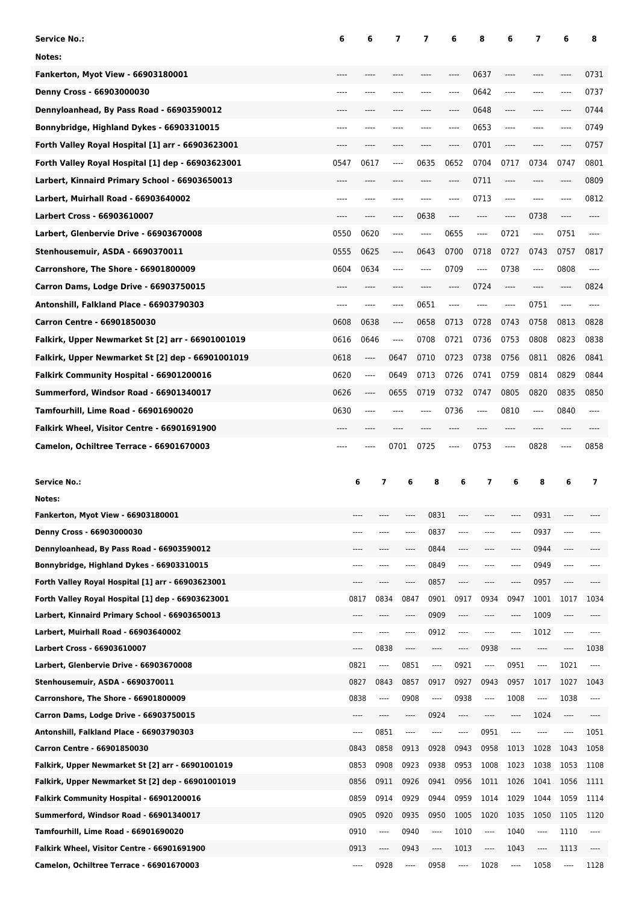| Service No.:                                                                        | 6    | 6                             | 7            | 7                                | 6                             | 8                | 6            | 7                             | 6            | 8        |
|-------------------------------------------------------------------------------------|------|-------------------------------|--------------|----------------------------------|-------------------------------|------------------|--------------|-------------------------------|--------------|----------|
| Notes:                                                                              |      |                               |              |                                  |                               |                  |              |                               |              |          |
| <b>Fankerton, Myot View - 66903180001</b>                                           |      |                               |              |                                  |                               | 0637             | ----         |                               |              | 0731     |
| Denny Cross - 66903000030                                                           | ---- | ----                          | ----         | ----                             | $---$                         | 0642             | ----         | $---$                         | ----         | 0737     |
| Dennyloanhead, By Pass Road - 66903590012                                           | ---- |                               |              |                                  | $---$                         | 0648             | ----         | ----                          |              | 0744     |
| Bonnybridge, Highland Dykes - 66903310015                                           | ---- | ----                          | ----         |                                  | ----                          | 0653             | ----         | $---$                         | ----         | 0749     |
| Forth Valley Royal Hospital [1] arr - 66903623001                                   | ---- |                               | ----         |                                  | $---$                         | 0701             | ----         | $---$                         | ----         | 0757     |
| Forth Valley Royal Hospital [1] dep - 66903623001                                   | 0547 | 0617                          | ----         | 0635                             | 0652                          | 0704             | 0717         | 0734                          | 0747         | 0801     |
| Larbert, Kinnaird Primary School - 66903650013                                      | ---- | ----                          | ----         | ----                             | $---$                         | 0711             | ----         | ----                          | ----         | 0809     |
| Larbert, Muirhall Road - 66903640002                                                | ---- | $---$                         | ----         | ----                             | ----                          | 0713             | ----         | ----                          | ----         | 0812     |
| <b>Larbert Cross - 66903610007</b>                                                  | ---- | $---$                         | ----         | 0638                             | $---$                         | $---$            | ----         | 0738                          | ----         | ----     |
| Larbert, Glenbervie Drive - 66903670008                                             | 0550 | 0620                          | ----         | ----                             | 0655                          | $\cdots$         | 0721         | $\hspace{1.5cm} \textbf{---}$ | 0751         | ----     |
| Stenhousemuir, ASDA - 6690370011                                                    | 0555 | 0625                          | ----         | 0643                             | 0700                          | 0718             | 0727         | 0743                          | 0757         | 0817     |
| Carronshore, The Shore - 66901800009                                                | 0604 | 0634                          | ----         | ----                             | 0709                          | $\cdots$         | 0738         | $\hspace{1.5cm} \textbf{---}$ | 0808         | ----     |
| Carron Dams, Lodge Drive - 66903750015                                              | ---- | ----                          | ----         |                                  | $---$                         | 0724             | ----         | $---$                         | ----         | 0824     |
| Antonshill, Falkland Place - 66903790303                                            | ---- | ----                          | ----         | 0651                             | ----                          | ----             | ----         | 0751                          | ----         | ----     |
| Carron Centre - 66901850030                                                         | 0608 | 0638                          | ----         | 0658                             | 0713                          | 0728             | 0743         | 0758                          | 0813         | 0828     |
| Falkirk, Upper Newmarket St [2] arr - 66901001019                                   | 0616 | 0646                          | ----         | 0708                             | 0721                          | 0736             | 0753         | 0808                          | 0823         | 0838     |
| Falkirk, Upper Newmarket St [2] dep - 66901001019                                   | 0618 | $\hspace{1.5cm} \textbf{---}$ | 0647         | 0710                             | 0723                          | 0738             | 0756         | 0811                          | 0826         | 0841     |
| Falkirk Community Hospital - 66901200016                                            | 0620 | $\hspace{1.5cm} \textbf{---}$ | 0649         | 0713                             | 0726                          | 0741             | 0759         | 0814                          | 0829         | 0844     |
| Summerford, Windsor Road - 66901340017                                              | 0626 | ----                          | 0655         | 0719                             | 0732                          | 0747             | 0805         | 0820                          | 0835         | 0850     |
| Tamfourhill, Lime Road - 66901690020                                                | 0630 | $\hspace{1.5cm} \textbf{---}$ | ----         | ----                             | 0736                          | ----             | 0810         | $\hspace{1.5cm} \textbf{---}$ | 0840         | ----     |
| Falkirk Wheel, Visitor Centre - 66901691900                                         | ---- | ----                          |              |                                  |                               |                  | ----         |                               | ----         |          |
| Camelon, Ochiltree Terrace - 66901670003                                            | ---- | ----                          | 0701         | 0725                             | $\hspace{1.5cm} \textbf{---}$ | 0753             | ----         | 0828                          | ----         | 0858     |
|                                                                                     |      |                               |              |                                  |                               |                  |              |                               |              |          |
|                                                                                     |      |                               |              |                                  |                               |                  |              |                               |              |          |
|                                                                                     |      |                               | 7            |                                  | 6                             | 7                |              |                               |              |          |
| <b>Service No.:</b><br>Notes:                                                       |      | 6                             |              | 6<br>8                           |                               |                  | 6            | 8                             | 6            | 7        |
| Fankerton, Myot View - 66903180001                                                  |      |                               |              | 0831                             |                               |                  |              | 0931                          |              |          |
| Denny Cross - 66903000030                                                           |      | ----                          | ----         | 0837<br>----                     | ----                          | ----             | ----         | 0937                          | ----         |          |
| Dennyloanhead, By Pass Road - 66903590012                                           |      |                               | ----         | 0844<br>----                     | ----                          | ----             | ----         | 0944                          | $\cdots$     |          |
| Bonnybridge, Highland Dykes - 66903310015                                           |      | ----                          | ----         | 0849<br>----                     | $---$                         | ----             | ----         | 0949                          | $- - - -$    |          |
| Forth Valley Royal Hospital [1] arr - 66903623001                                   |      | $---$                         | ----         | 0857<br>----                     | $---$                         | $\cdots$         | ----         | 0957                          | $\cdots$     | $---$    |
| Forth Valley Royal Hospital [1] dep - 66903623001                                   |      | 0817                          | 0834         | 0847<br>0901                     | 0917                          | 0934             | 0947         | 1001                          | 1017         | 1034     |
| Larbert, Kinnaird Primary School - 66903650013                                      |      | $---$                         | ----         | 0909<br>$\cdots$                 | $\cdots$                      | ----             | $\cdots$     | 1009                          | $\cdots$     |          |
| Larbert, Muirhall Road - 66903640002                                                |      | ----                          | ----         | 0912<br>----                     | $---$                         | ----             | ----         | 1012                          | $\cdots$     |          |
| <b>Larbert Cross - 66903610007</b>                                                  |      | ----                          | 0838         | ----<br>$---$                    | ----                          | 0938             | ----         | ----                          | $\cdots$     | 1038     |
| Larbert, Glenbervie Drive - 66903670008                                             |      | 0821                          | $\cdots$     | 0851<br>$\cdots$                 | 0921                          | ----             | 0951         | ----                          | 1021         | $\cdots$ |
| Stenhousemuir, ASDA - 6690370011                                                    |      | 0827                          | 0843         | 0857<br>0917                     | 0927                          | 0943             | 0957         | 1017                          | 1027         | 1043     |
| Carronshore, The Shore - 66901800009                                                |      | 0838                          | $\cdots$     | 0908<br>----                     | 0938                          | ----             | 1008         | ----                          | 1038         | $\cdots$ |
| Carron Dams, Lodge Drive - 66903750015                                              |      | ----                          | ----         | 0924<br>$\cdots$                 | $\cdots$                      | $\cdots$         | ----         | 1024                          | $\cdots$     | ----     |
| Antonshill, Falkland Place - 66903790303                                            |      | ----                          | 0851         | ----<br>$1 - 1$                  | $---$                         | 0951             | ----         | $\cdots$                      | $\cdots$     | 1051     |
| Carron Centre - 66901850030                                                         |      | 0843                          | 0858         | 0913<br>0928                     | 0943                          | 0958             | 1013         | 1028                          | 1043         | 1058     |
| Falkirk, Upper Newmarket St [2] arr - 66901001019                                   |      | 0853                          | 0908         | 0923<br>0938                     | 0953                          | 1008             | 1023         | 1038                          | 1053         | 1108     |
| Falkirk, Upper Newmarket St [2] dep - 66901001019                                   |      | 0856                          | 0911         | 0926<br>0941                     | 0956                          | 1011             | 1026         | 1041                          | 1056         | 1111     |
| Falkirk Community Hospital - 66901200016                                            |      | 0859                          | 0914         | 0929<br>0944                     | 0959                          | 1014             | 1029         | 1044                          | 1059         | 1114     |
| Summerford, Windsor Road - 66901340017                                              |      | 0905                          | 0920         | 0935<br>0950                     | 1005                          | 1020             | 1035         | 1050                          | 1105         | 1120     |
| Tamfourhill, Lime Road - 66901690020<br>Falkirk Wheel, Visitor Centre - 66901691900 |      | 0910<br>0913                  | ----<br>---- | 0940<br>$\cdots$<br>0943<br>---- | 1010<br>1013                  | ----<br>$\cdots$ | 1040<br>1043 | ----<br>----                  | 1110<br>1113 | $\cdots$ |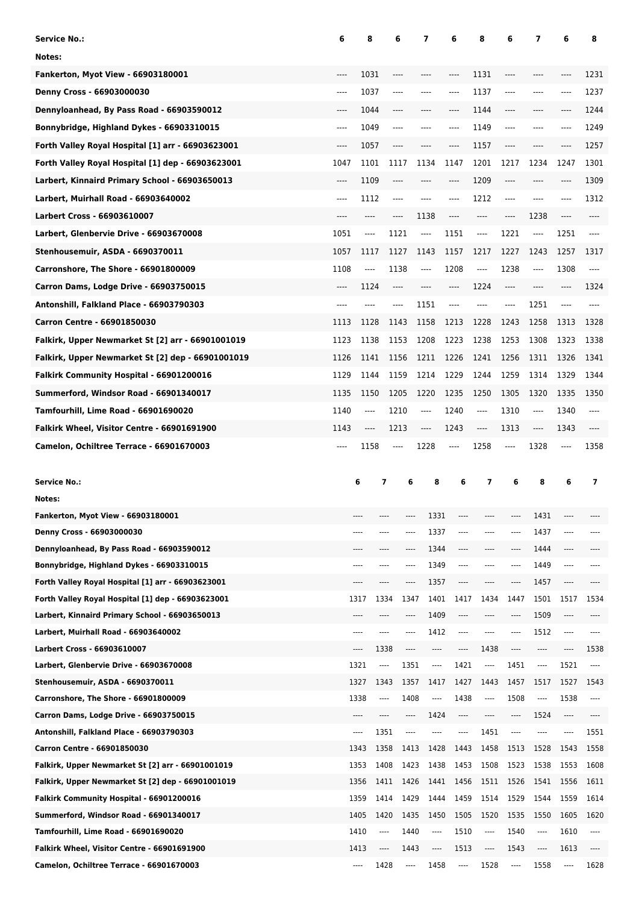| Service No.:                                                                        | 6       | 8            | 6                              | 7                | 6            | 8                             | 6            | 7                             | 6            | 8                        |
|-------------------------------------------------------------------------------------|---------|--------------|--------------------------------|------------------|--------------|-------------------------------|--------------|-------------------------------|--------------|--------------------------|
| Notes:                                                                              |         |              |                                |                  |              |                               |              |                               |              |                          |
| Fankerton, Myot View - 66903180001                                                  | ----    | 1031         | ----                           | ----             | $---$        | 1131                          | ----         | $---$                         | ----         | 1231                     |
| Denny Cross - 66903000030                                                           | $-----$ | 1037         | $---$                          | ----             | $-----$      | 1137                          | ----         | ----                          | ----         | 1237                     |
| Dennyloanhead, By Pass Road - 66903590012                                           | ----    | 1044         | ----                           | ----             | ----         | 1144                          | ----         | $---$                         | ----         | 1244                     |
| Bonnybridge, Highland Dykes - 66903310015                                           | ----    | 1049         | ----                           | ----             | ----         | 1149                          | ----         | ----                          | ----         | 1249                     |
| Forth Valley Royal Hospital [1] arr - 66903623001                                   | $-----$ | 1057         | ----                           | ----             | ----         | 1157                          | $-----$      | ----                          | ----         | 1257                     |
| Forth Valley Royal Hospital [1] dep - 66903623001                                   | 1047    | 1101         | 1117                           | 1134             | 1147         | 1201                          | 1217         | 1234                          | 1247         | 1301                     |
| Larbert, Kinnaird Primary School - 66903650013                                      | ----    | 1109         | $\cdots$                       | ----             | $-----$      | 1209                          | ----         | ----                          | ----         | 1309                     |
| Larbert, Muirhall Road - 66903640002                                                | $-----$ | 1112         | $\qquad \qquad \textbf{---}\\$ | ----             | ----         | 1212                          | ----         | ----                          | ----         | 1312                     |
| <b>Larbert Cross - 66903610007</b>                                                  | ----    | ----         | ----                           | 1138             | ----         | $\hspace{1.5cm} \textbf{---}$ | ----         | 1238                          | $\cdots$     | ----                     |
| Larbert, Glenbervie Drive - 66903670008                                             | 1051    | ----         | 1121                           | ----             | 1151         | ----                          | 1221         | ----                          | 1251         | ----                     |
| Stenhousemuir, ASDA - 6690370011                                                    | 1057    | 1117         | 1127                           | 1143             | 1157         | 1217                          | 1227         | 1243                          | 1257         | 1317                     |
| Carronshore, The Shore - 66901800009                                                | 1108    | ----         | 1138                           | ----             | 1208         | ----                          | 1238         | $\hspace{1.5cm} \textbf{---}$ | 1308         | $-----$                  |
| Carron Dams, Lodge Drive - 66903750015                                              | ----    | 1124         | ----                           | ----             | $\cdots$     | 1224                          | ----         | ----                          | $\cdots$     | 1324                     |
| Antonshill, Falkland Place - 66903790303                                            | ----    | ----         | ----                           | 1151             | $-----$      | ----                          | ----         | 1251                          | $\cdots$     | ----                     |
| Carron Centre - 66901850030                                                         | 1113    | 1128         | 1143                           | 1158             | 1213         | 1228                          | 1243         | 1258                          | 1313         | 1328                     |
| Falkirk, Upper Newmarket St [2] arr - 66901001019                                   | 1123    | 1138         | 1153                           | 1208             | 1223         | 1238                          | 1253         | 1308                          | 1323         | 1338                     |
| Falkirk, Upper Newmarket St [2] dep - 66901001019                                   | 1126    | 1141         | 1156                           | 1211             | 1226         | 1241                          | 1256         | 1311                          | 1326         | 1341                     |
| Falkirk Community Hospital - 66901200016                                            | 1129    | 1144         | 1159                           | 1214             | 1229         | 1244                          | 1259         | 1314                          | 1329         | 1344                     |
| Summerford, Windsor Road - 66901340017                                              | 1135    | 1150         | 1205                           | 1220             | 1235         | 1250                          | 1305         | 1320                          | 1335         | 1350                     |
| Tamfourhill, Lime Road - 66901690020                                                | 1140    | ----         | 1210                           | ----             | 1240         | ----                          | 1310         | ----                          | 1340         | ----                     |
| Falkirk Wheel, Visitor Centre - 66901691900                                         | 1143    | ----         | 1213                           | $\cdots$         | 1243         | ----                          | 1313         | $\hspace{1.5cm} \textbf{---}$ | 1343         | $\cdots$                 |
| Camelon, Ochiltree Terrace - 66901670003                                            | ----    | 1158         | ----                           | 1228             | $-----$      | 1258                          | ----         | 1328                          | ----         | 1358                     |
|                                                                                     |         |              |                                |                  |              |                               |              |                               |              |                          |
|                                                                                     |         |              |                                |                  |              |                               |              |                               |              |                          |
|                                                                                     |         | 6            | 7<br>6                         | 8                | 6            | 7                             | 6            | 8                             | 6            | $\overline{\phantom{a}}$ |
| <b>Service No.:</b><br>Notes:                                                       |         |              |                                |                  |              |                               |              |                               |              |                          |
| Fankerton, Myot View - 66903180001                                                  |         |              |                                | 1331             | ----         |                               |              | 1431                          |              |                          |
| Denny Cross - 66903000030                                                           |         | ----         |                                | 1337             | ----         |                               |              | 1437                          |              |                          |
| Dennyloanhead, By Pass Road - 66903590012                                           |         | ----         | ----<br>----                   | 1344             | $---$        | ----                          | ----         | 1444                          | $- - - -$    |                          |
| Bonnybridge, Highland Dykes - 66903310015                                           |         | $---$        | ----<br>----                   | 1349             | ----         | ----                          | ----         | 1449                          | $\cdots$     |                          |
| Forth Valley Royal Hospital [1] arr - 66903623001                                   |         | $---$        | ----<br>----                   | 1357             | ----         | $\cdots$                      | ----         | 1457                          | $\cdots$     |                          |
| Forth Valley Royal Hospital [1] dep - 66903623001                                   |         | 1317         | 1334<br>1347                   | 1401             | 1417         | 1434                          | 1447         | 1501                          | 1517         | 1534                     |
| Larbert, Kinnaird Primary School - 66903650013                                      |         | ----         | ----<br>----                   | 1409             | ----         | ----                          | ----         | 1509                          | ----         | $\cdots$                 |
| Larbert, Muirhall Road - 66903640002                                                |         | ----         | ----<br>----                   | 1412             | $\cdots$     | ----                          | ----         | 1512                          | $\cdots$     |                          |
| Larbert Cross - 66903610007                                                         |         | ----         | 1338<br>----                   | ----             | ----         | 1438                          | ----         | ----                          | $\cdots$     | 1538                     |
| Larbert, Glenbervie Drive - 66903670008                                             |         | 1321         | 1351<br>$\cdots$               | ----             | 1421         | ----                          | 1451         | $\cdots$                      | 1521         | $\cdots$                 |
| Stenhousemuir, ASDA - 6690370011                                                    |         | 1327         | 1343<br>1357                   | 1417             | 1427         | 1443                          | 1457         | 1517                          | 1527         | 1543                     |
| Carronshore, The Shore - 66901800009                                                |         | 1338         | 1408<br>$\cdots$               | ----             | 1438         | ----                          | 1508         | $\cdots$                      | 1538         | $\cdots$                 |
| Carron Dams, Lodge Drive - 66903750015                                              |         | $---$        | ----<br>----                   | 1424             | ----         | ----                          | ----         | 1524                          | $\cdots$     | ----                     |
| Antonshill, Falkland Place - 66903790303                                            |         | ----         | 1351<br>----                   | ----             | ----         | 1451                          |              |                               | $\cdots$     | 1551                     |
| Carron Centre - 66901850030                                                         |         | 1343         | 1358<br>1413                   | 1428             | 1443         | 1458                          | 1513         | 1528                          | 1543         | 1558                     |
| Falkirk, Upper Newmarket St [2] arr - 66901001019                                   |         | 1353         | 1408<br>1423                   | 1438             | 1453         | 1508                          | 1523         | 1538                          | 1553         | 1608                     |
| Falkirk, Upper Newmarket St [2] dep - 66901001019                                   |         | 1356         | 1411<br>1426                   | 1441             | 1456         | 1511                          | 1526         | 1541                          | 1556         | 1611                     |
| Falkirk Community Hospital - 66901200016                                            |         | 1359         | 1414<br>1429                   | 1444             | 1459         | 1514                          | 1529         | 1544                          | 1559         | 1614                     |
| Summerford, Windsor Road - 66901340017                                              |         | 1405         | 1420<br>1435                   | 1450             | 1505         | 1520                          | 1535         | 1550                          | 1605         | 1620                     |
| Tamfourhill, Lime Road - 66901690020<br>Falkirk Wheel, Visitor Centre - 66901691900 |         | 1410<br>1413 | 1440<br>----<br>1443<br>----   | $\cdots$<br>---- | 1510<br>1513 | ----<br>----                  | 1540<br>1543 | $\cdots$<br>----              | 1610<br>1613 | $\cdots$                 |